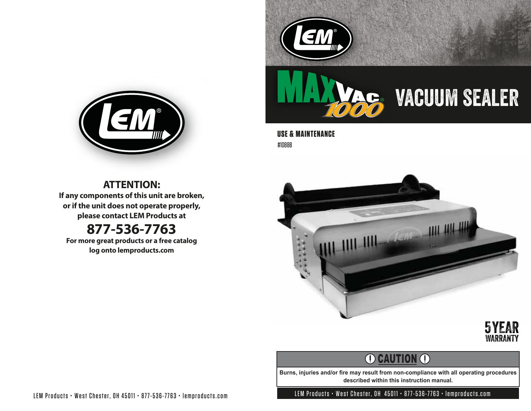



**USE & MAINTENANCE** #1088B





# **O CAUTION O**

**Burns, injuries and/or fire may result from non-compliance with all operating procedures described within this instruction manual.**



**ATTENTION: If any components of this unit are broken, or if the unit does not operate properly, please contact LEM Products at**

# **877-536-7763**

**For more great products or a free catalog log onto lemproducts.com**

LEM Products • West Chester, OH 45011 • 877-536-7763 • lemproducts.com LEM Products • West Chester, OH 45011 • 877-536-7763 • lemproducts.com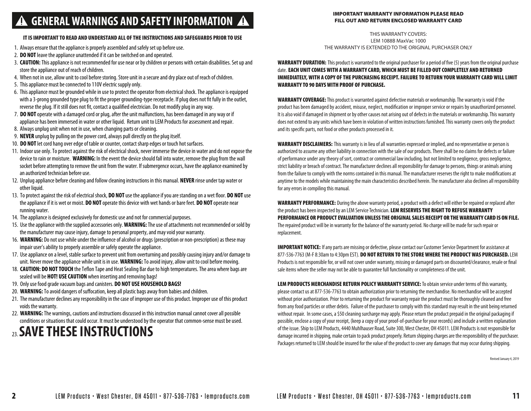# **GENERAL WARNINGS AND SAFETY INFORMATION**

### IMPORTANT WARRANTY INFORMATION PLEASE READ FILL OUT AND RETURN ENCLOSED WARRANTY CARD

#### IT IS IMPORTANT TO READ AND UNDERSTAND ALL OF THE INSTRUCTIONS AND SAFEGUARDS PRIOR TO USE

- 1. Always ensure that the appliance is properly assembled and safely set up before use.
- 2. **DO NOT** leave the appliance unattended if it can be switched on and operated.
- 3. **CAUTION:** This appliance is not recommended for use near or by children or persons with certain disabilities. Set up and store the appliance out of reach of children.
- 4. When not in use, allow unit to cool before storing. Store unit in a secure and dry place out of reach of children.
- 5. This appliance must be connected to 110V electric supply only.
- 6. This appliance must be grounded while in use to protect the operator from electrical shock. The appliance is equipped with a 3-prong grounded type plug to fit the proper grounding-type receptacle. If plug does not fit fully in the outlet, reverse the plug. If it still does not fit, contact a qualified electrician. Do not modify plug in any way.
- 7. **DO NOT** operate with a damaged cord or plug, after the unit malfunctions, has been damaged in any way or if appliance has been immersed in water or other liquid. Return unit to LEM Products for assessment and repair.
- 8. Always unplug unit when not in use, when changing parts or cleaning.
- 9. **NEVER** unplug by pulling on the power cord, always pull directly on the plug itself.
- 10. **DO NOT** let cord hang over edge of table or counter, contact sharp edges or touch hot surfaces.
- 11. Indoor use only. To protect against the risk of electrical shock, never immerse the device in water and do not expose the device to rain or moisture. **WARNING:** In the event the device should fall into water, remove the plug from the wall socket before attempting to remove the unit from the water. If submergence occurs, have the appliance examined by an authorized technician before use.
- 12. Unplug appliance before cleaning and follow cleaning instructions in this manual. **NEVER** rinse under tap water or other liquid.
- 13. To protect against the risk of electrical shock, **DO NOT** use the appliance if you are standing on a wet floor. **DO NOT** use the appliance if it is wet or moist. **DO NOT** operate this device with wet hands or bare feet. **DO NOT** operate near running water.
- 14. The appliance is designed exclusively for domestic use and not for commercial purposes.
- 15. Use the appliance with the supplied accessories only. **WARNING:** The use of attachments not recommended or sold by the manufacturer may cause injury, damage to personal property, and may void your warranty.
- 16. WARNING: Do not use while under the influence of alcohol or drugs (prescription or non-prescription) as these may impair user's ability to properly assemble or safely operate the appliance.
- 17. Use appliance on a level, stable surface to prevent unit from overturning and possibly causing injury and/or damage to unit. Never move the appliance while unit is in use. **WARNING:** To avoid injury, allow unit to cool before moving.
- 18. **CAUTION: DO NOT TOUCH** the Teflon Tape and Heat Sealing Bar due to high temperatures. The area where bags are sealed will be **HOT! USE CAUTION** when inserting and removing bags!
- 19. Only use food grade vacuum bags and canisters. **DO NOT USE HOUSEHOLD BAGS!**
- 20. WARNING: To avoid dangers of suffocation, keep all plastic bags away from babies and children.
- 21. The manufacturer declines any responsibility in the case of improper use of this product. Improper use of this product voids the warranty.
- 22. **WARNING:** The warnings, cautions and instructions discussed in this instruction manual cannot cover all possible conditions or situations that could occur. It must be understood by the operator that common-sense must be used.

# 23. **SAVE THESE INSTRUCTIONS**

THIS WARRANTY COVERS: LEM 1088B MaxVac 1000 THE WARRANTY IS EXTENDED TO THE ORIGINAL PURCHASER ONLY

WARRANTY DURATION: This product is warranted to the original purchaser for a period of five (5) years from the original purchase date. EACH UNIT COMES WITH A WARRANTY CARD, WHICH MUST BE FILLED OUT COMPLETELY AND RETURNED IMMEDIATELY, WITH A COPY OF THE PURCHASING RECEIPT. FAILURE TO RETURN YOUR WARRANTY CARD WILL LIMIT WARRANTY TO 90 DAYS WITH PROOF OF PURCHASE.

WARRANTY COVERAGE: This product is warranted against defective materials or workmanship. The warranty is void if the product has been damaged by accident, misuse, neglect, modification or improper service or repairs by unauthorized personnel. It is also void if damaged in shipment or by other causes not arising out of defects in the materials or workmanship. This warranty does not extend to any units which have been in violation of written instructions furnished. This warranty covers only the product and its specific parts, not food or other products processed in it.

WARRANTY DISCLAIMERS: This warranty is in lieu of all warranties expressed or implied, and no representative or person is authorized to assume any other liability in connection with the sale of our products. There shall be no claims for defects or failure of performance under any theory of sort, contract or commercial law including, but not limited to negligence, gross negligence, strict liability or breach of contract. The manufacturer declines all responsibility for damage to persons, things or animals arising from the failure to comply with the norms contained in this manual. The manufacturer reserves the right to make modifications at anytime to the models while maintaining the main characteristics described herein. The manufacturer also declines all responsibility for any errors in compiling this manual.

WARRANTY PERFORMANCE: During the above warranty period, a product with a defect will either be repaired or replaced after the product has been inspected by an LEM Service Technician. LEM RESERVES THE RIGHT TO REFUSE WARRANTY PERFORMANCE OR PRODUCT EVALUATION UNLESS THE ORIGINAL SALES RECEIPT OR THE WARRANTY CARD IS ON FILE. The repaired product will be in warranty for the balance of the warranty period. No charge will be made for such repair or replacement.

IMPORTANT NOTICE: If any parts are missing or defective, please contact our Customer Service Department for assistance at 877-536-7763 (M-F 8:30am to 4:30pm EST). DO NOT RETURN TO THE STORE WHERE THE PRODUCT WAS PURCHASED. LEM Products is not responsible for, or will not cover under warranty, missing or damaged parts on discounted/clearance, resale or final sale items where the seller may not be able to guarantee full functionality or completeness of the unit.

LEM PRODUCTS MERCHANDISE RETURN POLICY WARRANTY SERVICE: To obtain service under terms of this warranty, please contact us at 877-536-7763 to obtain authorization prior to returning the merchandise. No merchandise will be accepted without prior authorization. Prior to returning the product for warranty repair the product must be thoroughly cleaned and free from any food particles or other debris. Failure of the purchaser to comply with this standard may result in the unit being returned without repair. In some cases, a \$50 cleaning surcharge may apply. Please return the product prepaid in the original packaging if possible, enclose a copy of your receipt, (keep a copy of your proof-of-purchase for your records) and include a written explanation of the issue. Ship to LEM Products, 4440 Muhlhauser Road, Suite 300, West Chester, OH 45011. LEM Products is not responsible for damage incurred in shipping, make certain to pack product properly. Return shipping charges are the responsibility of the purchaser. Packages returned to LEM should be insured for the value of the product to cover any damages that may occur during shipping.

Revised January 4, 2019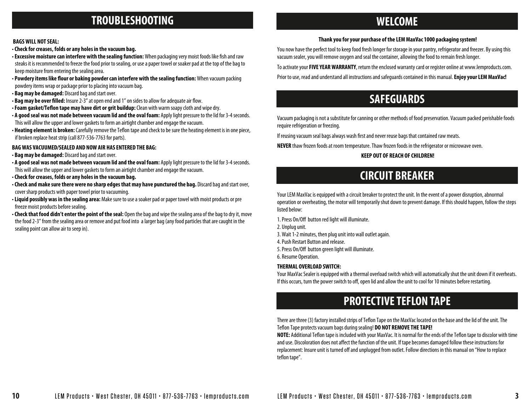### **TROUBLESHOOTING WELCOME**

### **Thank you for your purchase of the LEM MaxVac 1000 packaging system!**

### •**Check for creases, folds or any holes in the vacuum bag.**

**BAGS WILL NOT SEAL:**

- Excessive moisture can interfere with the sealing function: When packaging very moist foods like fish and raw steaks it is recommended to freeze the food prior to sealing, or use a paper towel or soaker pad at the top of the bag to keep moisture from entering the sealing area.
- Powdery items like flour or baking powder can interfere with the sealing function: When vacuum packing powdery items wrap or package prior to placing into vacuum bag.
- **Bag may be damaged:** Discard bag and start over.
- Bag may be over filled: Insure 2-3" at open end and 1" on sides to allow for adequate air flow.
- Foam gasket/Teflon tape may have dirt or grit buildup: Clean with warm soapy cloth and wipe dry.
- **A good seal was not made between vacuum lid and the oval foam:** Apply light pressure to the lid for 3-4 seconds. This will allow the upper and lower gaskets to form an airtight chamber and engage the vacuum.
- Heating element is broken: Carefully remove the Teflon tape and check to be sure the heating element is in one piece, if broken replace heat strip (call 877-536-7763 for parts).

### **BAG WAS VACUUMED/SEALED AND NOW AIR HAS ENTERED THE BAG:**

- **Bag may be damaged:** Discard bag and start over.
- **A good seal was not made between vacuum lid and the oval foam:** Apply light pressure to the lid for 3-4 seconds. This will allow the upper and lower gaskets to form an airtight chamber and engage the vacuum.
- •**Check for creases, folds or any holes in the vacuum bag.**
- •**Check and make sure there were no sharp edges that may have punctured the bag.** Discard bag and start over, cover sharp products with paper towel prior to vacuuming.
- •**Liquid possibly was in the sealing area:** Make sure to use a soaker pad or paper towel with moist products or pre freeze moist products before sealing.
- •**Check that food didn't enter the point of the seal:** Open the bag and wipe the sealing area of the bag to dry it, move the food 2-3" from the sealing area or remove and put food into a larger bag (any food particles that are caught in the sealing point can allow air to seep in).

You now have the perfect tool to keep food fresh longer for storage in your pantry, refrigerator and freezer. By using this vacuum sealer, you will remove oxygen and seal the container, allowing the food to remain fresh longer.

To activate your **FIVE YEAR WARRANTY**, return the enclosed warranty card or register online at www.lemproducts.com.

Prior to use, read and understand all instructions and safeguards contained in this manual. **Enjoy your LEM MaxVac!**

### **SAFEGUARDS**

Vacuum packaging is not a substitute for canning or other methods of food preservation. Vacuum packed perishable foods require refrigeration or freezing.

If reusing vacuum seal bags always wash first and never reuse bags that contained raw meats.

**NEVER** thaw frozen foods at room temperature. Thaw frozen foods in the refrigerator or microwave oven.

### **KEEP OUT OF REACH OF CHILDREN!**

## **CIRCUIT BREAKER**

Your LEM MaxVac is equipped with a circuit breaker to protect the unit. In the event of a power disruption, abnormal operation or overheating, the motor will temporarily shut down to prevent damage. If this should happen, follow the steps listed below:

- 1. Press On/Off button red light will illuminate.
- 2. Unplug unit.
- 3. Wait 1-2 minutes, then plug unit into wall outlet again.
- 4. Push Restart Button and release.
- 5. Press On/Off button green light will illuminate.

6. Resume Operation.

### **THERMAL OVERLOAD SWITCH:**

Your MaxVac Sealer is equipped with a thermal overload switch which will automatically shut the unit down if it overheats. If this occurs, turn the power switch to off, open lid and allow the unit to cool for 10 minutes before restarting.

# **PROTECTIVE TEFLON TAPE**

There are three (3) factory installed strips of Teflon Tape on the MaxVac located on the base and the lid of the unit. The Teflon Tape protects vacuum bags during sealing! **DO NOT REMOVE THE TAPE!** 

**NOTE:** Additional Teflon tape is included with your MaxVac. It is normal for the ends of the Teflon tape to discolor with time and use. Discoloration does not affect the function of the unit. If tape becomes damaged follow these instructions for replacement: Insure unit is turned off and unplugged from outlet. Follow directions in this manual on "How to replace teflon tape".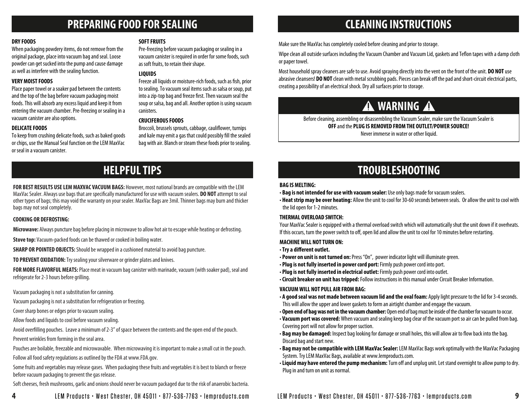## **PREPARING FOOD FOR SEALING CLEANING INSTRUCTIONS**

### **DRY FOODS**

When packaging powdery items, do not remove from the original package, place into vacuum bag and seal. Loose powder can get sucked into the pump and cause damage as well as interfere with the sealing function.

### **VERY MOIST FOODS**

Place paper towel or a soaker pad between the contents and the top of the bag before vacuum packaging moist foods. This will absorb any excess liquid and keep it from entering the vacuum chamber. Pre-freezing or sealing in a vacuum canister are also options.

### **DELICATE FOODS**

To keep from crushing delicate foods, such as baked goods or chips, use the Manual Seal function on the LEM MaxVac or seal in a vacuum canister.

### **SOFT FRUITS**

Pre-freezing before vacuum packaging or sealing in a vacuum canister is required in order for some foods, such as soft fruits, to retain their shape.

### **LIQUIDS**

Freeze all liquids or moisture-rich foods, such as fish, prior to sealing. To vacuum seal items such as salsa or soup, put into a zip-top bag and freeze first. Then vacuum seal the soup or salsa, bag and all. Another option is using vacuum canisters.

### **CRUCIFEROUS FOODS**

Broccoli, brussels sprouts, cabbage, cauliflower, turnips and kale may emit a gas that could possibly fill the sealed bag with air. Blanch or steam these foods prior to sealing.

Make sure the MaxVac has completely cooled before cleaning and prior to storage.

Wipe clean all outside surfaces including the Vacuum Chamber and Vacuum Lid, gaskets and Teflon tapes with a damp cloth or paper towel.

Most household spray cleaners are safe to use. Avoid spraying directly into the vent on the front of the unit. **DO NOT** use abrasive cleansers! DO NOT clean with metal scrubbing pads. Pieces can break off the pad and short-circuit electrical parts, creating a possibility of an electrical shock. Dry all surfaces prior to storage.

# **A** WARNING **A**

Before cleaning, assembling or disassembling the Vacuum Sealer, make sure the Vacuum Sealer is **OFF** and the **PLUG IS REMOVED FROM THE OUTLET/POWER SOURCE!** Never immerse in water or other liquid.

## **HELPFUL TIPS**

**FOR BEST RESULTS USE LEM MAXVAC VACUUM BAGS:** However, most national brands are compatible with the LEM MaxVac Sealer. Always use bags that are specically manufactured for use with vacuum sealers. **DO NOT** attempt to seal other types of bags; this may void the warranty on your sealer. MaxVac Bags are 3mil. Thinner bags may burn and thicker bags may not seal completely.

### **COOKING OR DEFROSTING:**

**Microwave:** Always puncture bag before placing in microwave to allow hot air to escape while heating or defrosting.

**Stove top:** Vacuum-packed foods can be thawed or cooked in boiling water.

**SHARP OR POINTED OBJECTS:** Should be wrapped in a cushioned material to avoid bag puncture.

**TO PREVENT OXIDATION:**Try sealing your silverware or grinder plates and knives.

**FOR MORE FLAVORFUL MEATS:** Place meat in vacuum bag canister with marinade, vacuum (with soaker pad), seal and refrigerate for 2-3 hours before grilling.

Vacuum packaging is not a substitution for canning.

Vacuum packaging is not a substitution for refrigeration or freezing.

Cover sharp bones or edges prior to vacuum sealing.

Allow foods and liquids to cool before vacuum sealing.

Avoid overlling pouches. Leave a minimum of 2-3" of space between the contents and the open end of the pouch.

Prevent wrinkles from forming in the seal area.

Pouches are boilable, freezable and microwavable. When microwaving it is important to make a small cut in the pouch.

Follow all food safety regulations as outlined by the FDA at www.FDA.gov.

Some fruits and vegetables may release gases. When packaging these fruits and vegetables it is best to blanch or freeze before vacuum packaging to prevent the gas release.

Soft cheeses, fresh mushrooms, garlic and onions should never be vacuum packaged due to the risk of anaerobic bacteria.

# **TROUBLESHOOTING**

### **BAG IS MELTING:**

- **Bag is not intended for use with vacuum sealer:** Use only bags made for vacuum sealers.
- **Heat strip may be over heating:** Allow the unit to cool for 30-60 seconds between seals. Or allow the unit to cool with the lid open for 1-2 minutes.

### **THERMAL OVERLOAD SWITCH:**

Your MaxVac Sealer is equipped with a thermal overload switch which will automatically shut the unit down if it overheats. If this occurs, turn the power switch to off, open lid and allow the unit to cool for 10 minutes before restarting.

### **MACHINE WILL NOT TURN ON:**

- $\cdot$  Try a different outlet.
- **Power on unit is not turned on:** Press "On", power indicator light will illuminate green.
- **Plug is not fully inserted in power cord port:** Firmly push power cord into port.
- **Plug is not fully inserted in electrical outlet:** Firmly push power cord into outlet.
- •**Circuit breaker on unit has tripped:** Follow instructions in this manual under Circuit Breaker Information.

### **VACUUM WILL NOT PULL AIR FROM BAG:**

- **A good seal was not made between vacuum lid and the oval foam:** Apply light pressure to the lid for 3-4 seconds. This will allow the upper and lower gaskets to form an airtight chamber and engage the vacuum.
- **Open end of bag was not in the vacuum chamber:** Open end of bag must be inside of the chamber for vacuum to occur.
- **Vacuum port was covered:** When vacuum and sealing keep bag clear of the vacuum port so air can be pulled from bag. Covering port will not allow for proper suction.
- Bag may be damaged: Inspect bag looking for damage or small holes, this will allow air to flow back into the bag. Discard bag and start new.
- **Bag may not be compatible with LEM MaxVac Sealer:** LEM MaxVac Bags work optimally with the MaxVac Packaging System. Try LEM MaxVac Bags, available at www.lemproducts.com.
- Liquid may have entered the pump mechanism: Turn off and unplug unit. Let stand overnight to allow pump to dry. Plug in and turn on unit as normal.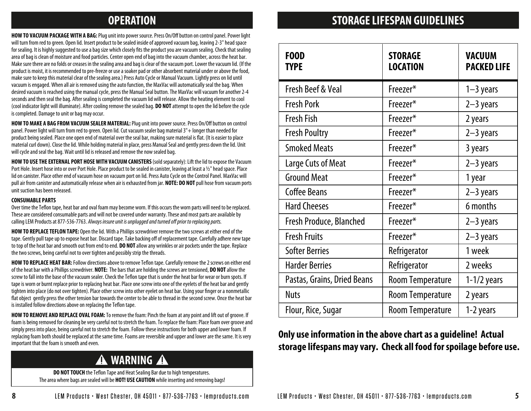**HOW TO VACUUM PACKAGE WITH A BAG:** Plug unit into power source. Press On/Off button on control panel. Power light will turn from red to green. Open lid. Insert product to be sealed inside of approved vacuum bag, leaving 2-3" head space for sealing. It is highly suggested to use a bag size which closely fits the product you are vacuum sealing. Check that sealing area of bag is clean of moisture and food particles. Center open end of bag into the vacuum chamber, across the heat bar. Make sure there are no folds or creases in the sealing area and bag is clear of the vacuum port. Lower the vacuum lid. (If the product is moist, it is recommended to pre-freeze or use a soaker pad or other absorbent material under or above the food, make sure to keep this material clear of the sealing area.) Press Auto Cycle or Manual Vacuum. Lightly press on lid until vacuum is engaged. When all air is removed using the auto function, the MaxVac will automatically seal the bag. When desired vacuum is reached using the manual cycle, press the Manual Seal button. The MaxVac will vacuum for another 2-4 seconds and then seal the bag. After sealing is completed the vacuum lid will release. Allow the heating element to cool (cool indicator light will illuminate). After cooling remove the sealed bag. **DO NOT** attempt to open the lid before the cycle is completed. Damage to unit or bag may occur.

HOW TO MAKE A BAG FROM VACUUM SEALER MATERIAL: Plug unit into power source. Press On/Off button on control panel. Power light will turn from red to green. Open lid. Cut vacuum sealer bag material 3"+ longer than needed for product being sealed. Place one open end of material over the seal bar, making sure material is flat. (It is easier to place material curl down). Close the lid. While holding material in place, press Manual Seal and gently press down the lid. Unit will cycle and seal the bag. Wait until lid is released and remove the now sealed bag.

**HOW TO USE THE EXTERNAL PORT HOSE WITH VACUUM CANISTERS** (sold separately): Lift the lid to expose the Vacuum Port Hole. Insert hose into or over Port Hole. Place product to be sealed in canister, leaving at least a 1/2" head space. Place lid on canister. Place other end of vacuum hose on vacuum port on lid. Press Auto Cycle on the Control Panel. MaxVac will pull air from canister and automatically release when air is exhausted from jar. **NOTE: DO NOT** pull hose from vacuum ports unit suction has been released.

### **CONSUMABLE PARTS**

Over time the Teflon tape, heat bar and oval foam may become worn. If this occurs the worn parts will need to be replaced. These are considered consumable parts and will not be covered under warranty. These and most parts are available by calling LEM Products at 877-536-7763. Always insure unit is unplugged and turned off prior to replacing parts.

**HOW TO REPLACE TEFLON TAPE:** Open the lid. With a Phillips screwdriver remove the two screws at either end of the tape. Gently pull tape up to expose heat bar. Discard tape. Take backing off of replacement tape. Carefully adhere new tape to top of the heat bar and smooth out from end to end. **DO NOT** allow any wrinkles or air pockets under the tape. Replace the two screws, being careful not to over tighten and possibly strip the threads.

**HOW TO REPLACE HEAT BAR:** Follow directions above to remove Teflon tape. Carefully remove the 2 screws on either end of the heat bar with a Phillips screwdriver. **NOTE:** The bars that are holding the screws are tensioned, **DO NOT** allow the screw to fall into the base of the vacuum sealer. Check the Teflon tape that is under the heat bar for wear or burn spots. If tape is worn or burnt replace prior to replacing heat bar. Place one screw into one of the eyelets of the heat bar and gently tighten into place (do not over tighten). Place other screw into other eyelet on heat bar. Using your finger or a nonmetallic flat object gently press the other tension bar towards the center to be able to thread in the second screw. Once the heat bar is installed follow directions above on replacing the Teflon tape.

**HOW TO REMOVE AND REPLACE OVAL FOAM:** To remove the foam: Pinch the foam at any point and lift out of groove. If foam is being removed for cleaning be very careful not to stretch the foam. To replace the foam: Place foam over groove and simply press into place, being careful not to stretch the foam. Follow these instructions for both upper and lower foam. If replacing foam both should be replaced at the same time. Foams are reversible and upper and lower are the same. It is very important that the foam is smooth and even.

# **A** WARNING **A**

**DO NOT TOUCH** the Teflon Tape and Heat Sealing Bar due to high temperatures. The area where bags are sealed will be **HOT! USE CAUTION** while inserting and removing bags!

# **OPERATION STORAGE LIFESPAN GUIDELINES**

| <b>FOOD</b><br><b>TYPE</b>   | <b>STORAGE</b><br><b>LOCATION</b> | <b>VACUUM</b><br><b>PACKED LIFE</b> |
|------------------------------|-----------------------------------|-------------------------------------|
| <b>Fresh Beef &amp; Veal</b> | Freezer*                          | $1-3$ years                         |
| <b>Fresh Pork</b>            | Freezer*                          | $2-3$ years                         |
| <b>Fresh Fish</b>            | Freezer*                          | 2 years                             |
| <b>Fresh Poultry</b>         | Freezer*                          | $2-3$ years                         |
| <b>Smoked Meats</b>          | Freezer*                          | 3 years                             |
| Large Cuts of Meat           | Freezer*                          | $2-3$ years                         |
| <b>Ground Meat</b>           | Freezer*                          | 1 year                              |
| <b>Coffee Beans</b>          | Freezer*                          | $2-3$ years                         |
| <b>Hard Cheeses</b>          | Freezer*                          | 6 months                            |
| Fresh Produce, Blanched      | Freezer*                          | $2-3$ years                         |
| <b>Fresh Fruits</b>          | Freezer*                          | $2-3$ years                         |
| <b>Softer Berries</b>        | Refrigerator                      | 1 week                              |
| <b>Harder Berries</b>        | Refrigerator                      | 2 weeks                             |
| Pastas, Grains, Dried Beans  | <b>Room Temperature</b>           | $1-1/2$ years                       |
| <b>Nuts</b>                  | <b>Room Temperature</b>           | 2 years                             |
| Flour, Rice, Sugar           | <b>Room Temperature</b>           | 1-2 years                           |

### **Only use information in the above chart as a guideline! Actual storage lifespans may vary. Check all food for spoilage before use.**